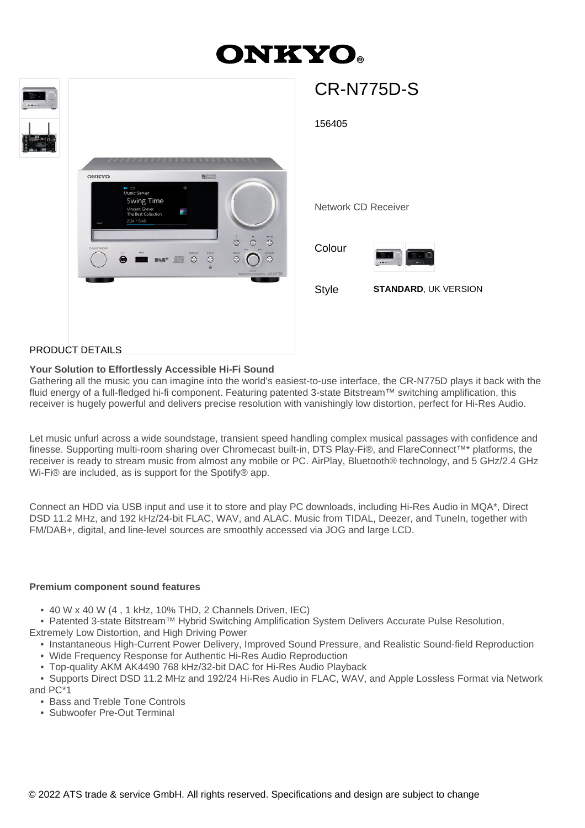# **ONKYO**



## PRODUCT DETAILS

## **Your Solution to Effortlessly Accessible Hi-Fi Sound**

Gathering all the music you can imagine into the world's easiest-to-use interface, the CR-N775D plays it back with the fluid energy of a full-fledged hi-fi component. Featuring patented 3-state Bitstream™ switching amplification, this receiver is hugely powerful and delivers precise resolution with vanishingly low distortion, perfect for Hi-Res Audio.

Let music unfurl across a wide soundstage, transient speed handling complex musical passages with confidence and finesse. Supporting multi-room sharing over Chromecast built-in, DTS Play-Fi®, and FlareConnect™\* platforms, the receiver is ready to stream music from almost any mobile or PC. AirPlay, Bluetooth® technology, and 5 GHz/2.4 GHz Wi-Fi® are included, as is support for the Spotify® app.

Connect an HDD via USB input and use it to store and play PC downloads, including Hi-Res Audio in MQA\*, Direct DSD 11.2 MHz, and 192 kHz/24-bit FLAC, WAV, and ALAC. Music from TIDAL, Deezer, and TuneIn, together with FM/DAB+, digital, and line-level sources are smoothly accessed via JOG and large LCD.

#### **Premium component sound features**

- 40 W x 40 W (4 , 1 kHz, 10% THD, 2 Channels Driven, IEC)
- Patented 3-state Bitstream™ Hybrid Switching Amplification System Delivers Accurate Pulse Resolution,
- Extremely Low Distortion, and High Driving Power
	- Instantaneous High-Current Power Delivery, Improved Sound Pressure, and Realistic Sound-field Reproduction
	- Wide Frequency Response for Authentic Hi-Res Audio Reproduction
	- Top-quality AKM AK4490 768 kHz/32-bit DAC for Hi-Res Audio Playback

 • Supports Direct DSD 11.2 MHz and 192/24 Hi-Res Audio in FLAC, WAV, and Apple Lossless Format via Network and PC\*1

- Bass and Treble Tone Controls
- Subwoofer Pre-Out Terminal